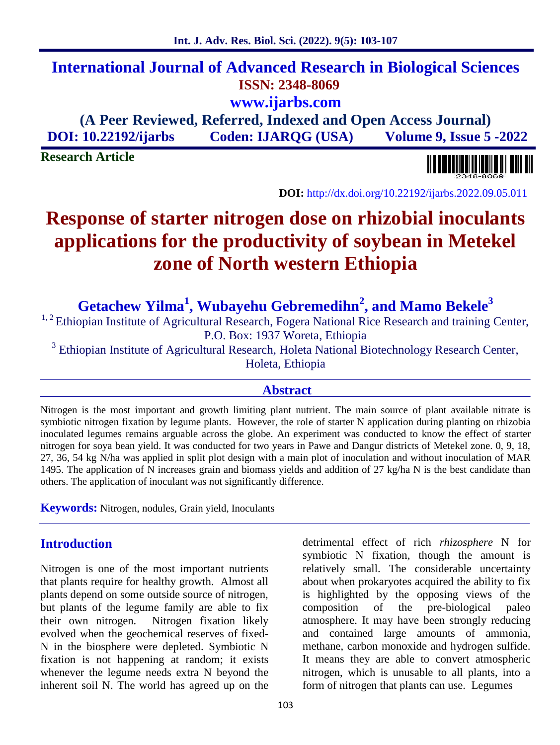## **International Journal of Advanced Research in Biological Sciences ISSN: 2348-8069 www.ijarbs.com**

**(A Peer Reviewed, Referred, Indexed and Open Access Journal) DOI: 10.22192/ijarbs Coden: IJARQG (USA) Volume 9, Issue 5 -2022**

**Research Article**

**DOI:** http://dx.doi.org/10.22192/ijarbs.2022.09.05.011

# **Response of starter nitrogen dose on rhizobial inoculants applications for the productivity of soybean in Metekel zone of North western Ethiopia**

**Getachew Yilma<sup>1</sup> , Wubayehu Gebremedihn<sup>2</sup> , and Mamo Bekele<sup>3</sup>**

<sup>1, 2</sup> Ethiopian Institute of Agricultural Research, Fogera National Rice Research and training Center, P.O. Box: 1937 Woreta, Ethiopia

<sup>3</sup> Ethiopian Institute of Agricultural Research, Holeta National Biotechnology Research Center, Holeta, Ethiopia

#### **Abstract**

Nitrogen is the most important and growth limiting plant nutrient. The main source of plant available nitrate is symbiotic nitrogen fixation by legume plants. However, the role of starter N application during planting on rhizobia inoculated legumes remains arguable across the globe. An experiment was conducted to know the effect of starter nitrogen for soya bean yield. It was conducted for two years in Pawe and Dangur districts of Metekel zone. 0, 9, 18, 27, 36, 54 kg N/ha was applied in split plot design with a main plot of inoculation and without inoculation of MAR 1495. The application of N increases grain and biomass yields and addition of 27 kg/ha N is the best candidate than others. The application of inoculant was not significantly difference.

**Keywords:** Nitrogen, nodules, Grain yield, Inoculants

## **Introduction**

Nitrogen is one of the most important nutrients that plants require for healthy growth. Almost all plants depend on some outside source of nitrogen, but plants of the legume family are able to fix composition their own nitrogen. Nitrogen fixation likely evolved when the geochemical reserves of fixed- N in the biosphere were depleted. Symbiotic N fixation is not happening at random; it exists whenever the legume needs extra N beyond the inherent soil N. The world has agreed up on the

detrimental effect of rich *rhizosphere* N for symbiotic N fixation, though the amount is relatively small. The considerable uncertainty about when prokaryotes acquired the ability to fix is highlighted by the opposing views of the of the pre-biological paleo atmosphere. It may have been strongly reducing and contained large amounts of ammonia, methane, carbon monoxide and hydrogen sulfide. It means they are able to convert atmospheric nitrogen, which is unusable to all plants, into a form of nitrogen that plants can use. Legumes

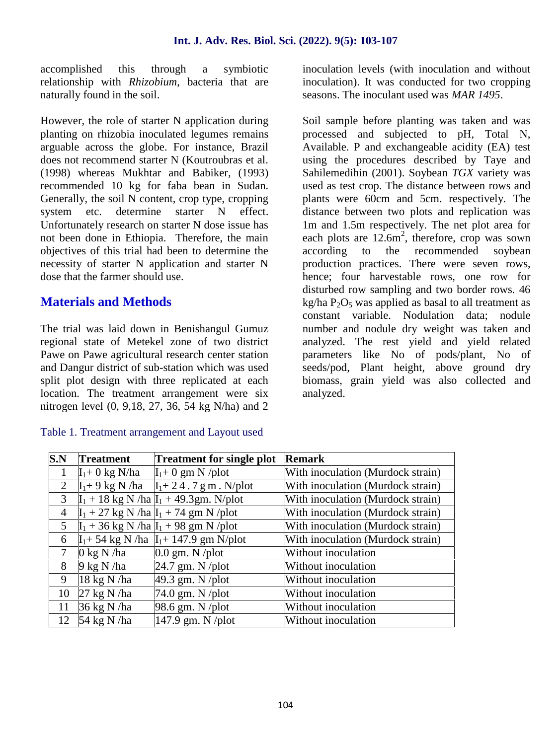accomplished this through a symbiotic relationship with *Rhizobium*, bacteria that are naturally found in the soil.

However, the role of starter N application during planting on rhizobia inoculated legumes remains arguable across the globe. For instance, Brazil does not recommend starter N (Koutroubras et al. (1998) whereas Mukhtar and Babiker, (1993) recommended 10 kg for faba bean in Sudan. Generally, the soil N content, crop type, cropping system etc. determine starter N effect. Unfortunately research on starter N dose issue has not been done in Ethiopia. Therefore, the main objectives of this trial had been to determine the necessity of starter N application and starter N dose that the farmer should use.

## **Materials and Methods**

The trial was laid down in Benishangul Gumuz regional state of Metekel zone of two district Pawe on Pawe agricultural research center station and Dangur district of sub-station which was used split plot design with three replicated at each location. The treatment arrangement were six nitrogen level (0, 9,18, 27, 36, 54 kg N/ha) and 2

#### Table 1. Treatment arrangement and Layout used

inoculation levels (with inoculation and without inoculation). It was conducted for two cropping seasons. The inoculant used was *MAR 1495*.

Soil sample before planting was taken and was processed and subjected to pH, Total N, Available. P and exchangeable acidity (EA) test using the procedures described by Taye and Sahilemedihin (2001). Soybean *TGX* variety was used as test crop. The distance between rows and plants were 60cm and 5cm. respectively. The distance between two plots and replication was 1m and 1.5m respectively. The net plot area for each plots are  $12.6m^2$ , therefore, crop was sown to the recommended soybean production practices. There were seven rows, hence; four harvestable rows, one row for disturbed row sampling and two border rows. 46 kg/ha  $P_2O_5$  was applied as basal to all treatment as constant variable. Nodulation data; nodule number and nodule dry weight was taken and analyzed. The rest yield and yield related parameters like No of pods/plant, No of seeds/pod, Plant height, above ground dry biomass, grain yield was also collected and analyzed.

| S.N            | <b>Treatment</b>              | <b>Treatment for single plot</b>             | <b>Remark</b>                     |
|----------------|-------------------------------|----------------------------------------------|-----------------------------------|
| 1              | $I_1 + 0$ kg N/ha             | $I_1+0$ gm N /plot                           | With inoculation (Murdock strain) |
| 2              |                               | $I_1 + 9$ kg N /ha $I_1 + 24.7$ g m . N/plot | With inoculation (Murdock strain) |
| 3              |                               | $I_1 + 18$ kg N /ha $I_1 + 49.3$ gm. N/plot  | With inoculation (Murdock strain) |
| $\overline{4}$ |                               | $I_1$ + 27 kg N /ha $I_1$ + 74 gm N /plot    | With inoculation (Murdock strain) |
| 5              |                               | $I_1$ + 36 kg N /ha $I_1$ + 98 gm N /plot    | With inoculation (Murdock strain) |
| 6              |                               | $I_1 + 54$ kg N/ha $I_1 + 147.9$ gm N/plot   | With inoculation (Murdock strain) |
| 7              | $0 \text{ kg N/ha}$           | $0.0$ gm. N /plot                            | Without inoculation               |
| 8              | $9 \text{ kg N}$ /ha          | $24.7$ gm. N /plot                           | Without inoculation               |
| 9              | $18 \text{ kg N}$ /ha         | 49.3 gm. N $\mu$ blot                        | Without inoculation               |
| 10             | $27 \text{ kg} \text{ N}$ /ha | $74.0$ gm. N /plot                           | Without inoculation               |
| 11             | 36 kg N /ha                   | 98.6 gm. N /plot                             | Without inoculation               |
| 12             | 54 kg N /ha                   | 147.9 gm. N $\gamma$ plot                    | Without inoculation               |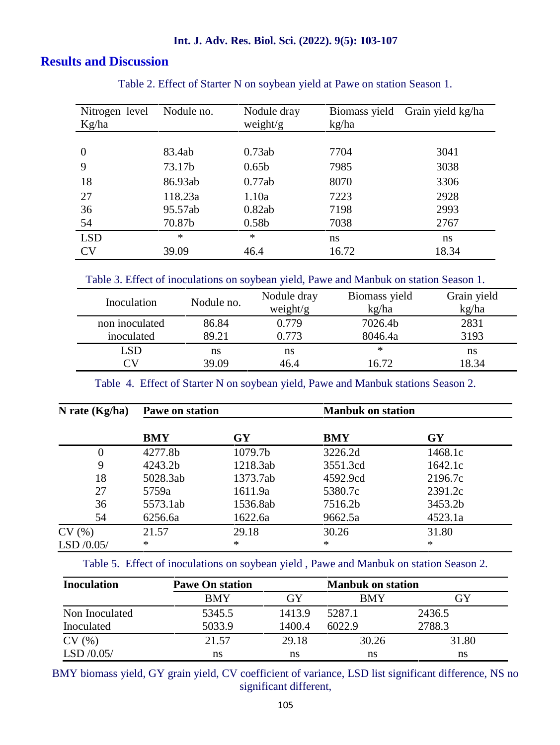#### **Int. J. Adv. Res. Biol. Sci. (2022). 9(5): 103-107**

## **Results and Discussion**

| Nitrogen level<br>Kg/ha | Nodule no. | Nodule dray<br>weight/ $g$ | Biomass yield<br>kg/ha | Grain yield kg/ha |
|-------------------------|------------|----------------------------|------------------------|-------------------|
|                         |            |                            |                        |                   |
| $\overline{0}$          | 83.4ab     | 0.73ab                     | 7704                   | 3041              |
| 9                       | 73.17b     | 0.65 <sub>b</sub>          | 7985                   | 3038              |
| 18                      | 86.93ab    | 0.77ab                     | 8070                   | 3306              |
| 27                      | 118.23a    | 1.10a                      | 7223                   | 2928              |
| 36                      | 95.57ab    | 0.82ab                     | 7198                   | 2993              |
| 54                      | 70.87b     | 0.58 <sub>b</sub>          | 7038                   | 2767              |
| <b>LSD</b>              | $\ast$     | $\ast$                     | ns.                    | ns                |
| <b>CV</b>               | 39.09      | 46.4                       | 16.72                  | 18.34             |

#### Table 2. Effect of Starter N on soybean yield at Pawe on station Season 1.

Table 3. Effect of inoculations on soybean yield, Pawe and Manbuk on station Season 1.

| Nodule no. | Nodule dray<br>weight/g | Biomass yield<br>kg/ha | Grain yield<br>kg/ha |  |
|------------|-------------------------|------------------------|----------------------|--|
| 86.84      | 0.779                   | 7026.4b                | 2831                 |  |
| 89.21      | 0.773                   | 8046.4a                | 3193                 |  |
| ns         | ns                      | ∗                      | ns                   |  |
| 39.09      | 46.4                    | 16.72                  | 18.34                |  |
|            |                         |                        |                      |  |

Table 4. Effect of Starter N on soybean yield, Pawe and Manbuk stations Season 2.

| N rate $(Kg/ha)$ | Pawe on station |          | <b>Manbuk on station</b> |         |  |
|------------------|-----------------|----------|--------------------------|---------|--|
|                  | <b>BMY</b>      | GY       | <b>BMY</b>               | GY      |  |
| 0                | 4277.8b         | 1079.7b  | 3226.2d                  | 1468.1c |  |
| 9                | 4243.2b         | 1218.3ab | 3551.3cd                 | 1642.1c |  |
| 18               | 5028.3ab        | 1373.7ab | 4592.9cd                 | 2196.7c |  |
| 27               | 5759a           | 1611.9a  | 5380.7c                  | 2391.2c |  |
| 36               | 5573.1ab        | 1536.8ab | 7516.2b                  | 3453.2b |  |
| 54               | 6256.6a         | 1622.6a  | 9662.5a                  | 4523.1a |  |
| CV(%)            | 21.57           | 29.18    | 30.26                    | 31.80   |  |
| LSD $/0.05/$     | $\ast$          | $\ast$   | $\ast$                   | $\ast$  |  |

Table 5. Effect of inoculations on soybean yield , Pawe and Manbuk on station Season 2.

| <b>Inoculation</b> | <b>Pawe On station</b> | <b>Manbuk on station</b> |            |        |
|--------------------|------------------------|--------------------------|------------|--------|
|                    | BMY                    | GY                       | <b>BMY</b> | GY     |
| Non Inoculated     | 5345.5                 | 1413.9                   | 5287.1     | 2436.5 |
| Inoculated         | 5033.9                 | 1400.4                   | 6022.9     | 2788.3 |
| CV(%)              | 21.57                  | 29.18                    | 30.26      | 31.80  |
| LSD $/0.05/$       | ns                     | ns                       | ns         | ns     |

BMY biomass yield, GY grain yield, CV coefficient of variance, LSD list significant difference, NS no significant different,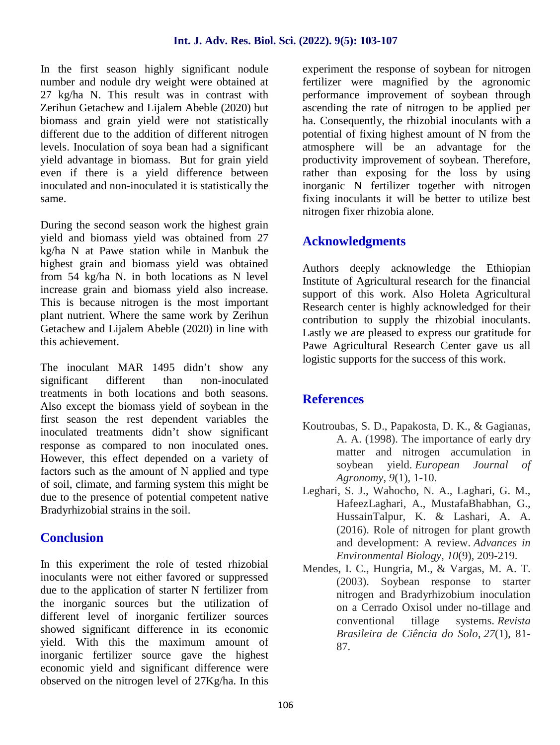In the first season highly significant nodule number and nodule dry weight were obtained at 27 kg/ha N. This result was in contrast with Zerihun Getachew and Lijalem Abeble (2020) but biomass and grain yield were not statistically different due to the addition of different nitrogen levels. Inoculation of soya bean had a significant yield advantage in biomass. But for grain yield even if there is a yield difference between inoculated and non-inoculated it is statistically the same.

During the second season work the highest grain yield and biomass yield was obtained from 27 kg/ha N at Pawe station while in Manbuk the highest grain and biomass yield was obtained from 54 kg/ha N. in both locations as N level increase grain and biomass yield also increase. This is because nitrogen is the most important plant nutrient. Where the same work by Zerihun Getachew and Lijalem Abeble (2020) in line with this achievement.

The inoculant MAR 1495 didn't show any significant different than non-inoculated treatments in both locations and both seasons. Also except the biomass yield of soybean in the first season the rest dependent variables the inoculated treatments didn't show significant response as compared to non inoculated ones. However, this effect depended on a variety of factors such as the amount of N applied and type of soil, climate, and farming system this might be due to the presence of potential competent native Bradyrhizobial strains in the soil.

## **Conclusion**

In this experiment the role of tested rhizobial inoculants were not either favored or suppressed due to the application of starter N fertilizer from the inorganic sources but the utilization of different level of inorganic fertilizer sources showed significant difference in its economic yield. With this the maximum amount of inorganic fertilizer source gave the highest economic yield and significant difference were observed on the nitrogen level of 27Kg/ha. In this

experiment the response of soybean for nitrogen fertilizer were magnified by the agronomic performance improvement of soybean through ascending the rate of nitrogen to be applied per ha. Consequently, the rhizobial inoculants with a potential of fixing highest amount of N from the atmosphere will be an advantage for the productivity improvement of soybean. Therefore, rather than exposing for the loss by using inorganic N fertilizer together with nitrogen fixing inoculants it will be better to utilize best nitrogen fixer rhizobia alone.

## **Acknowledgments**

Authors deeply acknowledge the Ethiopian Institute of Agricultural research for the financial support of this work. Also Holeta Agricultural Research center is highly acknowledged for their contribution to supply the rhizobial inoculants. Lastly we are pleased to express our gratitude for Pawe Agricultural Research Center gave us all logistic supports for the success of this work.

## **References**

- Koutroubas, S. D., Papakosta, D. K., & Gagianas, A. A. (1998). The importance of early dry matter and nitrogen accumulation in soybean yield. *European Journal of Agronomy*, *9*(1), 1-10.
- Leghari, S. J., Wahocho, N. A., Laghari, G. M., HafeezLaghari, A., MustafaBhabhan, G., HussainTalpur, K. & Lashari, A. A. (2016). Role of nitrogen for plant growth and development: A review. *Advances in Environmental Biology*, *10*(9), 209-219.
- Mendes, I. C., Hungria, M., & Vargas, M. A. T. (2003). Soybean response to starter nitrogen and Bradyrhizobium inoculation on a Cerrado Oxisol under no-tillage and conventional tillage systems. *Revista Brasileira de Ciência do Solo*, *27*(1), 81- 87.